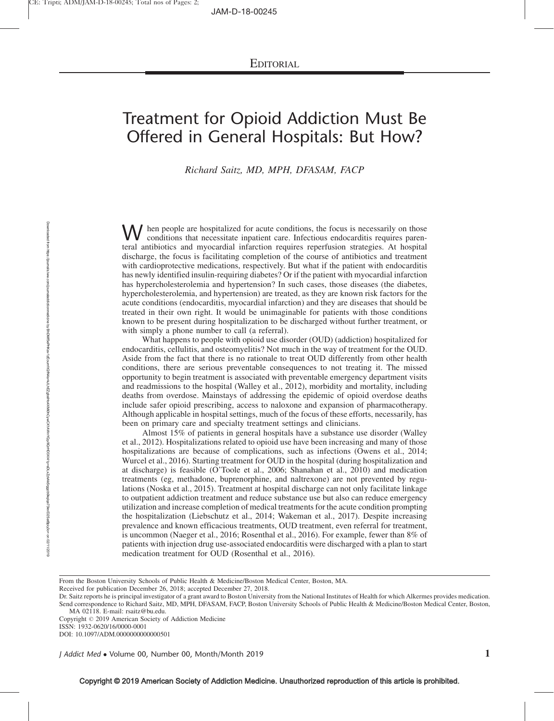## Treatment for Opioid Addiction Must Be Offered in General Hospitals: But How?

Richard Saitz, MD, MPH, DFASAM, FACP

W hen people are hospitalized for acute conditions, the focus is necessarily on those conditions that necessitate inpatient care. Infectious endocarditis requires parenteral antibiotics and myocardial infarction requires reperfusion strategies. At hospital discharge, the focus is facilitating completion of the course of antibiotics and treatment with cardioprotective medications, respectively. But what if the patient with endocarditis has newly identified insulin-requiring diabetes? Or if the patient with myocardial infarction has hypercholesterolemia and hypertension? In such cases, those diseases (the diabetes, hypercholesterolemia, and hypertension) are treated, as they are known risk factors for the acute conditions (endocarditis, myocardial infarction) and they are diseases that should be treated in their own right. It would be unimaginable for patients with those conditions known to be present during hospitalization to be discharged without further treatment, or with simply a phone number to call (a referral).

What happens to people with opioid use disorder (OUD) (addiction) hospitalized for endocarditis, cellulitis, and osteomyelitis? Not much in the way of treatment for the OUD. Aside from the fact that there is no rationale to treat OUD differently from other health conditions, there are serious preventable consequences to not treating it. The missed opportunity to begin treatment is associated with preventable emergency department visits and readmissions to the hospital (Walley et al., 2012), morbidity and mortality, including deaths from overdose. Mainstays of addressing the epidemic of opioid overdose deaths include safer opioid prescribing, access to naloxone and expansion of pharmacotherapy. Although applicable in hospital settings, much of the focus of these efforts, necessarily, has been on primary care and specialty treatment settings and clinicians.

Almost 15% of patients in general hospitals have a substance use disorder (Walley et al., 2012). Hospitalizations related to opioid use have been increasing and many of those hospitalizations are because of complications, such as infections (Owens et al., 2014; Wurcel et al., 2016). Starting treatment for OUD in the hospital (during hospitalization and at discharge) is feasible (O'Toole et al., 2006; Shanahan et al., 2010) and medication treatments (eg, methadone, buprenorphine, and naltrexone) are not prevented by regulations (Noska et al., 2015). Treatment at hospital discharge can not only facilitate linkage to outpatient addiction treatment and reduce substance use but also can reduce emergency utilization and increase completion of medical treatments for the acute condition prompting the hospitalization (Liebschutz et al., 2014; Wakeman et al., 2017). Despite increasing prevalence and known efficacious treatments, OUD treatment, even referral for treatment, is uncommon (Naeger et al., 2016; Rosenthal et al., 2016). For example, fewer than 8% of patients with injection drug use-associated endocarditis were discharged with a plan to start medication treatment for OUD (Rosenthal et al., 2016).

From the Boston University Schools of Public Health & Medicine/Boston Medical Center, Boston, MA.

Received for publication December 26, 2018; accepted December 27, 2018.

Dr. Saitz reports he is principal investigator of a grant award to Boston University from the National Institutes of Health for which Alkermes provides medication. Send correspondence to Richard Saitz, MD, MPH, DFASAM, FACP, Boston University Schools of Public Health & Medicine/Boston Medical Center, Boston, MA 02118. E-mail: [rsaitz@bu.edu](mailto:rsaitz@bu.edu).

Copyright © 2019 American Society of Addiction Medicine ISSN: 1932-0620/16/0000-0001

DOI: 10.1097/ADM.0000000000000501

*J Addict Med* • Volume 00, Number 00, Month/Month 2019  $1$